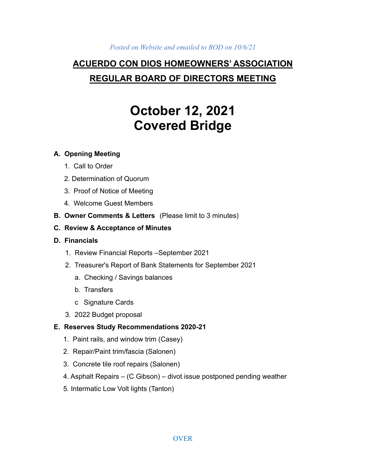#### *Posted on Website and emailed to BOD on 10/6/21*

# **ACUERDO CON DIOS HOMEOWNERS' ASSOCIATION REGULAR BOARD OF DIRECTORS MEETING**

# **October 12, 2021 Covered Bridge**

#### **A. Opening Meeting**

- 1. Call to Order
- 2. Determination of Quorum
- 3. Proof of Notice of Meeting
- 4. Welcome Guest Members
- **B. Owner Comments & Letters** (Please limit to 3 minutes)
- **C. Review & Acceptance of Minutes**
- **D. Financials**
	- 1. Review Financial Reports –September 2021
	- 2. Treasurer's Report of Bank Statements for September 2021
		- a. Checking / Savings balances
		- b. Transfers
		- c Signature Cards
	- 3. 2022 Budget proposal

## **E. Reserves Study Recommendations 2020-21**

- 1. Paint rails, and window trim (Casey)
- 2. Repair/Paint trim/fascia (Salonen)
- 3. Concrete tile roof repairs (Salonen)
- 4. Asphalt Repairs (C Gibson) divot issue postponed pending weather
- 5. Intermatic Low Volt lights (Tanton)

#### **OVER**